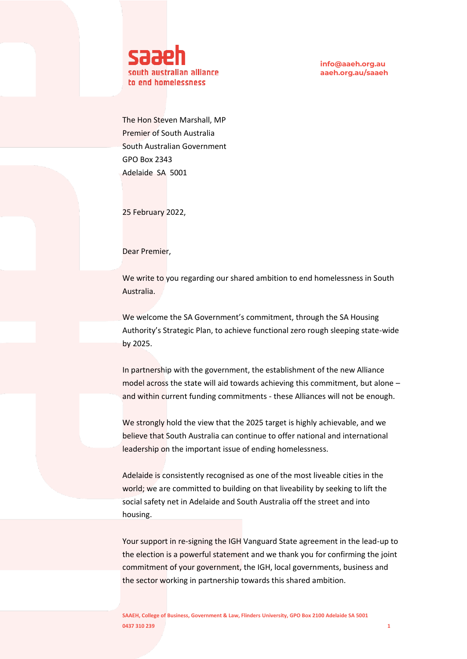

The Hon Steven Marshall, MP Premier of South Australia South Australian Government GPO Box 2343 Adelaide SA 5001

25 February 2022,

Dear Premier,

We write to you regarding our shared ambition to end homelessness in South Australia.

We welcome the SA Government's commitment, through the SA Housing Authority's Strategic Plan, to achieve functional zero rough sleeping state-wide by 2025.

In partnership with the government, the establishment of the new Alliance model across the state will aid towards achieving this commitment, but alone – and within current funding commitments - these Alliances will not be enough.

We strongly hold the view that the 2025 target is highly achievable, and we believe that South Australia can continue to offer national and international leadership on the important issue of ending homelessness.

Adelaide is consistently recognised as one of the most liveable cities in the world; we are committed to building on that liveability by seeking to lift the social safety net in Adelaide and South Australia off the street and into housing.

Your support in re-signing the IGH Vanguard State agreement in the lead-up to the election is a powerful statement and we thank you for confirming the joint commitment of your government, the IGH, local governments, business and the sector working in partnership towards this shared ambition.

**SAAEH, College of Business, Government & Law, Flinders University, GPO Box 2100 Adelaide SA 5001 0437 310 239 11 239 12:00 12:00 12:00 12:00 12:00 12:00 12:00 12:00 12:00 12:00 12:00 12:00 12:00 12:00 12:00 12:00 12:00 12:00 12:00 12:00 12:00 12:00 12:00 12:00 12:00 12:00 12:00 12:00 12:00 12:00 12:00 12:00 12:00 12:**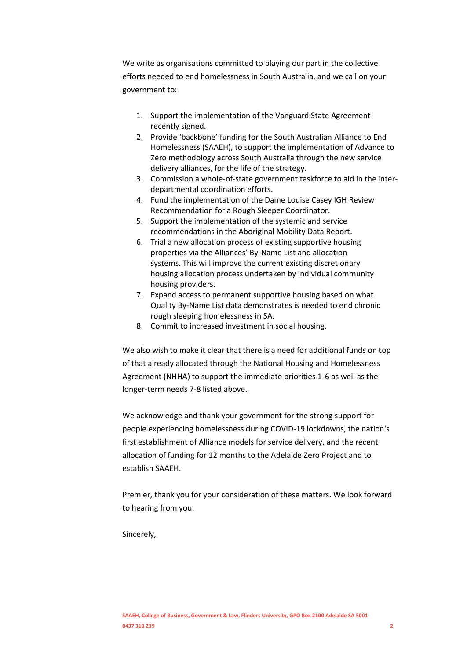We write as organisations committed to playing our part in the collective efforts needed to end homelessness in South Australia, and we call on your government to:

- 1. Support the implementation of the Vanguard State Agreement recently signed.
- 2. Provide 'backbone' funding for the South Australian Alliance to End Homelessness (SAAEH), to support the implementation of Advance to Zero methodology across South Australia through the new service delivery alliances, for the life of the strategy.
- 3. Commission a whole-of-state government taskforce to aid in the interdepartmental coordination efforts.
- 4. Fund the implementation of the Dame Louise Casey IGH Review Recommendation for a Rough Sleeper Coordinator.
- 5. Support the implementation of the systemic and service recommendations in the Aboriginal Mobility Data Report.
- 6. Trial a new allocation process of existing supportive housing properties via the Alliances' By-Name List and allocation systems. This will improve the current existing discretionary housing allocation process undertaken by individual community housing providers.
- 7. Expand access to permanent supportive housing based on what Quality By-Name List data demonstrates is needed to end chronic rough sleeping homelessness in SA.
- 8. Commit to increased investment in social housing.

We also wish to make it clear that there is a need for additional funds on top of that already allocated through the National Housing and Homelessness Agreement (NHHA) to support the immediate priorities 1-6 as well as the longer-term needs 7-8 listed above.

We acknowledge and thank your government for the strong support for people experiencing homelessness during COVID-19 lockdowns, the nation's first establishment of Alliance models for service delivery, and the recent allocation of funding for 12 months to the Adelaide Zero Project and to establish SAAEH.

Premier, thank you for your consideration of these matters. We look forward to hearing from you.

Sincerely,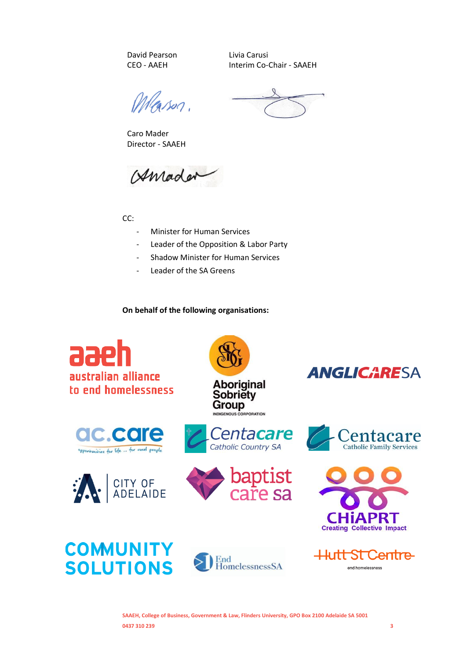David Pearson CEO - AAEH

Caro Mader Director - SAAEH Livia Carusi Interim Co-Chair - SAAEH

Meason.

Amader

CC:

- Minister for Human Services
- Leader of the Opposition & Labor Party
- Shadow Minister for Human Services
- Leader of the SA Greens

**On behalf of the following organisations:**



**SAAEH, College of Business, Government & Law, Flinders University, GPO Box 2100 Adelaide SA 5001 0437 310 239 3**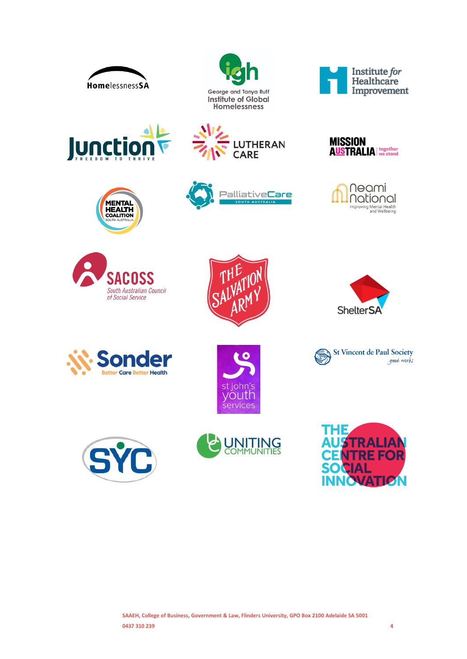























**St Vincent de Paul Society** 

good works